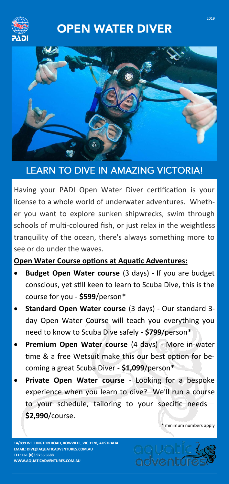

## **OPEN WATER DIVER**



## **LEARN TO DIVE IN AMAZING VICTORIA!**

Having your PADI Open Water Diver certification is your license to a whole world of underwater adventures. Whether you want to explore sunken shipwrecks, swim through schools of multi-coloured fish, or just relax in the weightless tranquility of the ocean, there's always something more to see or do under the waves.

**Open Water Course options at Aquatic Adventures:**

- **Budget Open Water course** (3 days) If you are budget conscious, yet still keen to learn to Scuba Dive, this is the course for you - **\$599**/person\*
- **Standard Open Water course** (3 days) Our standard 3 day Open Water Course will teach you everything you need to know to Scuba Dive safely - **\$799**/person\*
- **Premium Open Water course** (4 days) More in-water time & a free Wetsuit make this our best option for becoming a great Scuba Diver - **\$1,099**/person\*
- **Private Open Water course**  Looking for a bespoke experience when you learn to dive? We'll run a course to your schedule, tailoring to your specific needs— **\$2,990**/course.

\* minimum numbers apply